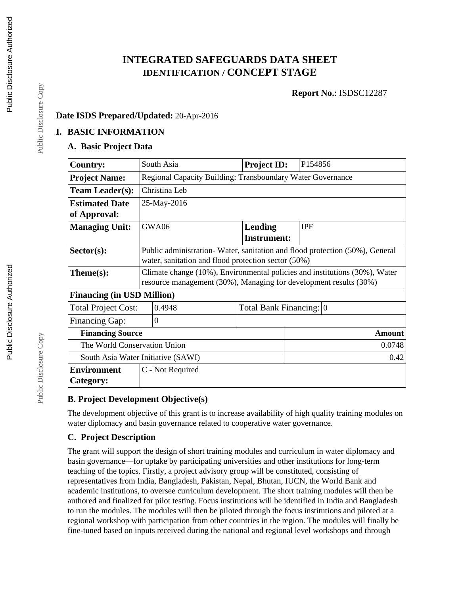# **INTEGRATED SAFEGUARDS DATA SHEET IDENTIFICATION / CONCEPT STAGE**

**Report No.**: ISDSC12287

## **Date ISDS Prepared/Updated:** 20-Apr-2016

#### **I. BASIC INFORMATION**

### **A. Basic Project Data**

| <b>Country:</b>                      | South Asia                                                                  | <b>Project ID:</b>      | P <sub>154856</sub> |  |  |
|--------------------------------------|-----------------------------------------------------------------------------|-------------------------|---------------------|--|--|
| <b>Project Name:</b>                 | Regional Capacity Building: Transboundary Water Governance                  |                         |                     |  |  |
| <b>Team Leader(s):</b>               | Christina Leb                                                               |                         |                     |  |  |
| <b>Estimated Date</b>                | 25-May-2016                                                                 |                         |                     |  |  |
| of Approval:                         |                                                                             |                         |                     |  |  |
| <b>Managing Unit:</b>                | GWA06                                                                       | Lending                 | <b>IPF</b>          |  |  |
|                                      |                                                                             | <b>Instrument:</b>      |                     |  |  |
| $Sector(s)$ :                        | Public administration-Water, sanitation and flood protection (50%), General |                         |                     |  |  |
|                                      | water, sanitation and flood protection sector (50%)                         |                         |                     |  |  |
| $Thene(s):$                          | Climate change (10%), Environmental policies and institutions (30%), Water  |                         |                     |  |  |
|                                      | resource management (30%), Managing for development results (30%)           |                         |                     |  |  |
| <b>Financing (in USD Million)</b>    |                                                                             |                         |                     |  |  |
| 0.4948<br><b>Total Project Cost:</b> |                                                                             | Total Bank Financing: 0 |                     |  |  |
| <b>Financing Gap:</b>                | $\Omega$                                                                    |                         |                     |  |  |
| <b>Financing Source</b>              |                                                                             |                         | <b>Amount</b>       |  |  |
| The World Conservation Union         |                                                                             |                         | 0.0748              |  |  |
| South Asia Water Initiative (SAWI)   |                                                                             |                         | 0.42                |  |  |
| <b>Environment</b>                   | C - Not Required                                                            |                         |                     |  |  |
| Category:                            |                                                                             |                         |                     |  |  |

## **B. Project Development Objective(s)**

The development objective of this grant is to increase availability of high quality training modules on water diplomacy and basin governance related to cooperative water governance.

## **C. Project Description**

The grant will support the design of short training modules and curriculum in water diplomacy and basin governance—for uptake by participating universities and other institutions for long-term teaching of the topics. Firstly, a project advisory group will be constituted, consisting of representatives from India, Bangladesh, Pakistan, Nepal, Bhutan, IUCN, the World Bank and academic institutions, to oversee curriculum development. The short training modules will then be authored and finalized for pilot testing. Focus institutions will be identified in India and Bangladesh to run the modules. The modules will then be piloted through the focus institutions and piloted at a regional workshop with participation from other countries in the region. The modules will finally be fine-tuned based on inputs received during the national and regional level workshops and through

Public Disclosure Copy

Public Disclosure Copy

Public Disclosure Copy

Public Disclosure Copy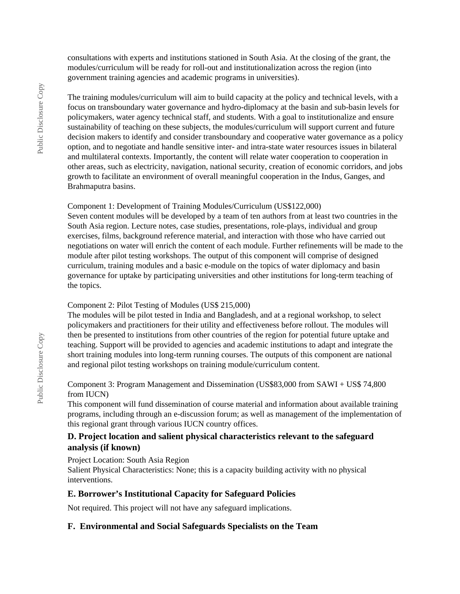consultations with experts and institutions stationed in South Asia. At the closing of the grant, the modules/curriculum will be ready for roll-out and institutionalization across the region (into government training agencies and academic programs in universities).

The training modules/curriculum will aim to build capacity at the policy and technical levels, with a focus on transboundary water governance and hydro-diplomacy at the basin and sub-basin levels for policymakers, water agency technical staff, and students. With a goal to institutionalize and ensure sustainability of teaching on these subjects, the modules/curriculum will support current and future decision makers to identify and consider transboundary and cooperative water governance as a policy option, and to negotiate and handle sensitive inter- and intra-state water resources issues in bilateral and multilateral contexts. Importantly, the content will relate water cooperation to cooperation in other areas, such as electricity, navigation, national security, creation of economic corridors, and jobs growth to facilitate an environment of overall meaningful cooperation in the Indus, Ganges, and Brahmaputra basins.

#### Component 1: Development of Training Modules/Curriculum (US\$122,000)

Seven content modules will be developed by a team of ten authors from at least two countries in the South Asia region. Lecture notes, case studies, presentations, role-plays, individual and group exercises, films, background reference material, and interaction with those who have carried out negotiations on water will enrich the content of each module. Further refinements will be made to the module after pilot testing workshops. The output of this component will comprise of designed curriculum, training modules and a basic e-module on the topics of water diplomacy and basin governance for uptake by participating universities and other institutions for long-term teaching of the topics.

#### Component 2: Pilot Testing of Modules (US\$ 215,000)

The modules will be pilot tested in India and Bangladesh, and at a regional workshop, to select policymakers and practitioners for their utility and effectiveness before rollout. The modules will then be presented to institutions from other countries of the region for potential future uptake and teaching. Support will be provided to agencies and academic institutions to adapt and integrate the short training modules into long-term running courses. The outputs of this component are national and regional pilot testing workshops on training module/curriculum content.

#### Component 3: Program Management and Dissemination (US\$83,000 from SAWI + US\$ 74,800 from IUCN)

This component will fund dissemination of course material and information about available training programs, including through an e-discussion forum; as well as management of the implementation of this regional grant through various IUCN country offices.

#### **D. Project location and salient physical characteristics relevant to the safeguard analysis (if known)**

Project Location: South Asia Region

Salient Physical Characteristics: None; this is a capacity building activity with no physical interventions.

#### **E. Borrower's Institutional Capacity for Safeguard Policies**

Not required. This project will not have any safeguard implications.

## **F. Environmental and Social Safeguards Specialists on the Team**